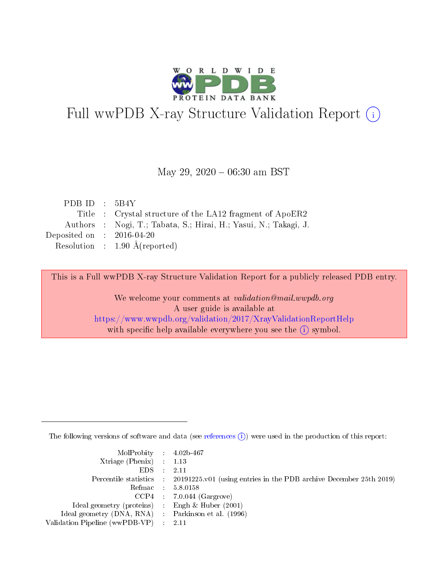

# Full wwPDB X-ray Structure Validation Report (i)

#### May 29,  $2020 - 06:30$  am BST

| PDB ID : $5B4Y$                                                  |
|------------------------------------------------------------------|
| Title : Crystal structure of the LA12 fragment of ApoER2         |
| Authors : Nogi, T.; Tabata, S.; Hirai, H.; Yasui, N.; Takagi, J. |
| Deposited on : $2016-04-20$                                      |
| Resolution : $1.90 \text{ Å}$ (reported)                         |
|                                                                  |

This is a Full wwPDB X-ray Structure Validation Report for a publicly released PDB entry.

We welcome your comments at validation@mail.wwpdb.org A user guide is available at <https://www.wwpdb.org/validation/2017/XrayValidationReportHelp> with specific help available everywhere you see the  $(i)$  symbol.

The following versions of software and data (see [references](https://www.wwpdb.org/validation/2017/XrayValidationReportHelp#references)  $(i)$ ) were used in the production of this report:

| MolProbity : $4.02b-467$                            |                                                                                            |
|-----------------------------------------------------|--------------------------------------------------------------------------------------------|
| Xtriage (Phenix) $: 1.13$                           |                                                                                            |
| EDS -                                               | 2.11                                                                                       |
|                                                     | Percentile statistics : 20191225.v01 (using entries in the PDB archive December 25th 2019) |
|                                                     | Refmac 58.0158                                                                             |
|                                                     | $CCP4$ 7.0.044 (Gargrove)                                                                  |
| Ideal geometry (proteins) : Engh $\&$ Huber (2001)  |                                                                                            |
| Ideal geometry (DNA, RNA) : Parkinson et al. (1996) |                                                                                            |
| Validation Pipeline (wwPDB-VP)                      | -2.11                                                                                      |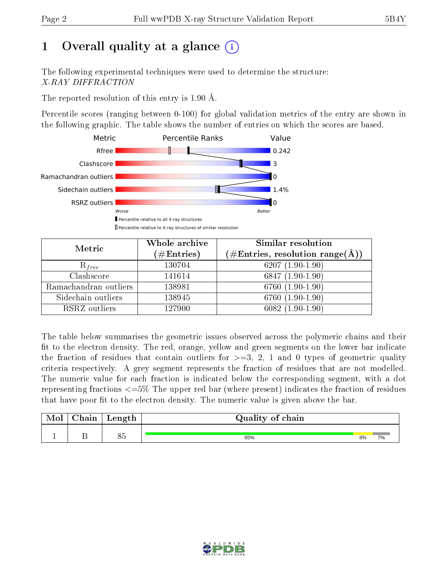# 1 [O](https://www.wwpdb.org/validation/2017/XrayValidationReportHelp#overall_quality)verall quality at a glance  $(i)$

The following experimental techniques were used to determine the structure: X-RAY DIFFRACTION

The reported resolution of this entry is 1.90 Å.

Percentile scores (ranging between 0-100) for global validation metrics of the entry are shown in the following graphic. The table shows the number of entries on which the scores are based.



| Metric                | Whole archive<br>$(\#\text{Entries})$ | <b>Similar resolution</b><br>$(\#\text{Entries}, \text{resolution range}(\text{\AA}))$ |
|-----------------------|---------------------------------------|----------------------------------------------------------------------------------------|
| $R_{free}$            | 130704                                | 6207 $(1.90-1.90)$                                                                     |
| Clashscore            | 141614                                | $6847(1.90-1.90)$                                                                      |
| Ramachandran outliers | 138981                                | $6760(1.90-1.90)$                                                                      |
| Sidechain outliers    | 138945                                | 6760 (1.90-1.90)                                                                       |
| RSRZ outliers         | 127900                                | $6082(1.90-1.90)$                                                                      |

The table below summarises the geometric issues observed across the polymeric chains and their fit to the electron density. The red, orange, yellow and green segments on the lower bar indicate the fraction of residues that contain outliers for  $>=3, 2, 1$  and 0 types of geometric quality criteria respectively. A grey segment represents the fraction of residues that are not modelled. The numeric value for each fraction is indicated below the corresponding segment, with a dot representing fractions <=5% The upper red bar (where present) indicates the fraction of residues that have poor fit to the electron density. The numeric value is given above the bar.

| Mol | $\sim$ in<br>adll t | Length          | Quality of chain |    |  |  |  |  |
|-----|---------------------|-----------------|------------------|----|--|--|--|--|
|     |                     | $\Omega E$<br>ೕ | 85%              | 8% |  |  |  |  |

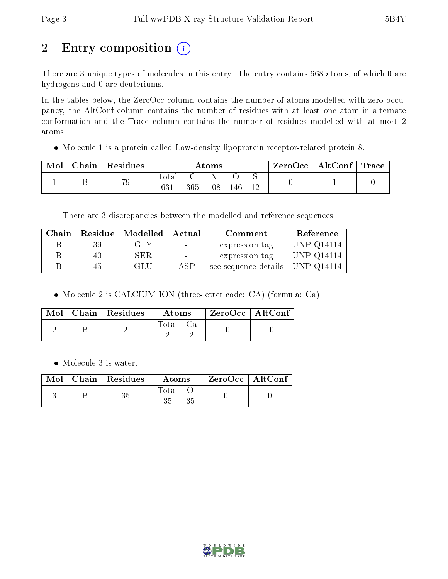# 2 Entry composition (i)

There are 3 unique types of molecules in this entry. The entry contains 668 atoms, of which 0 are hydrogens and 0 are deuteriums.

In the tables below, the ZeroOcc column contains the number of atoms modelled with zero occupancy, the AltConf column contains the number of residues with at least one atom in alternate conformation and the Trace column contains the number of residues modelled with at most 2 atoms.

Molecule 1 is a protein called Low-density lipoprotein receptor-related protein 8.

| Mol | Chain | Residues | Atoms        |         |     |     |  | $\mathbb C$ ZeroOcc $\top$ | $\vert$ AltConf $\vert$ | $\operatorname{Trace}$ |
|-----|-------|----------|--------------|---------|-----|-----|--|----------------------------|-------------------------|------------------------|
|     |       | 79       | Total<br>631 | $365\,$ | 108 | 146 |  |                            |                         |                        |

There are 3 discrepancies between the modelled and reference sequences:

| Chain |    | Residue   Modelled   Actual |     | Comment              | Reference               |
|-------|----|-----------------------------|-----|----------------------|-------------------------|
|       | 39 | GLY                         |     | expression tag       | <b>UNP Q14114</b>       |
|       | 40 | SER.                        |     | expression tag       | UNP Q14114              |
|       | 45 | GLU                         | ASP | see sequence details | $\,^\dagger$ UNP Q14114 |

Molecule 2 is CALCIUM ION (three-letter code: CA) (formula: Ca).

|  | $\text{Mol}$   Chain   Residues | Atoms | ZeroOcc   AltConf |  |
|--|---------------------------------|-------|-------------------|--|
|  |                                 | Total |                   |  |

• Molecule 3 is water.

|  | $\text{Mol}$   Chain   Residues | Atoms       | $\perp$ ZeroOcc $\parallel$ AltConf . |  |
|--|---------------------------------|-------------|---------------------------------------|--|
|  |                                 | Total<br>35 |                                       |  |

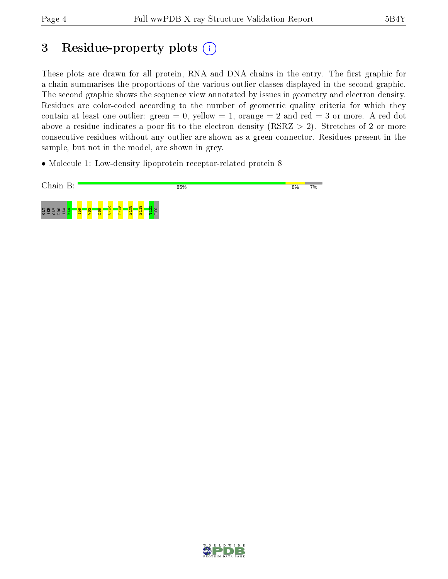# 3 Residue-property plots  $(i)$

These plots are drawn for all protein, RNA and DNA chains in the entry. The first graphic for a chain summarises the proportions of the various outlier classes displayed in the second graphic. The second graphic shows the sequence view annotated by issues in geometry and electron density. Residues are color-coded according to the number of geometric quality criteria for which they contain at least one outlier: green  $= 0$ , yellow  $= 1$ , orange  $= 2$  and red  $= 3$  or more. A red dot above a residue indicates a poor fit to the electron density (RSRZ  $> 2$ ). Stretches of 2 or more consecutive residues without any outlier are shown as a green connector. Residues present in the sample, but not in the model, are shown in grey.

• Molecule 1: Low-density lipoprotein receptor-related protein 8



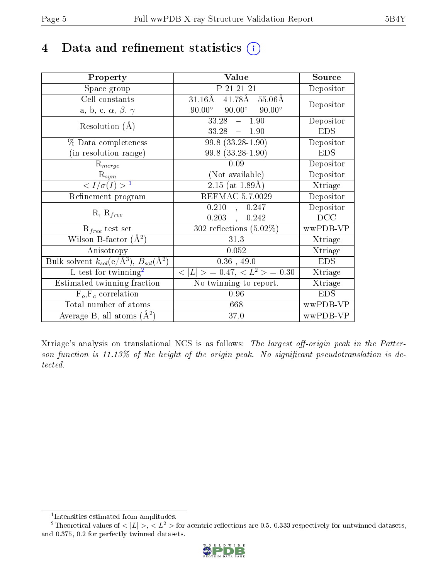# 4 Data and refinement statistics  $(i)$

| Property                                                         | Value                                           | Source     |
|------------------------------------------------------------------|-------------------------------------------------|------------|
| Space group                                                      | P 21 21 21                                      | Depositor  |
| Cell constants                                                   | $41.78A$ $55.06A$<br>$31.16\text{\AA}$          | Depositor  |
| a, b, c, $\alpha$ , $\beta$ , $\gamma$                           | $90.00^\circ$<br>$90.00^\circ$<br>$90.00^\circ$ |            |
| Resolution $(A)$                                                 | 33.28<br>1.90<br>$\frac{1}{2}$                  | Depositor  |
|                                                                  | 33.28<br>$-1.90$                                | <b>EDS</b> |
| % Data completeness                                              | $99.8(33.28-1.90)$                              | Depositor  |
| (in resolution range)                                            | $99.8$ $(33.28 - 1.90)$                         | <b>EDS</b> |
| $\mathrm{R}_{merge}$                                             | 0.09                                            | Depositor  |
| $\mathrm{R}_{sym}$                                               | (Not available)                                 | Depositor  |
| $\langle I/\sigma(I) \rangle^{-1}$                               | $\overline{2.15}$ (at 1.89Å)                    | Xtriage    |
| Refinement program                                               | REFMAC 5.7.0029                                 | Depositor  |
| $R, R_{free}$                                                    | 0.210<br>0.247<br>$\overline{\phantom{a}}$      | Depositor  |
|                                                                  | 0.203<br>0.242<br>$\ddot{\phantom{a}}$          | DCC        |
| $R_{free}$ test set                                              | $302$ reflections $(5.02\%)$                    | wwPDB-VP   |
| Wilson B-factor $(A^2)$                                          | 31.3                                            | Xtriage    |
| Anisotropy                                                       | 0.052                                           | Xtriage    |
| Bulk solvent $k_{sol}(\text{e}/\text{A}^3), B_{sol}(\text{A}^2)$ | 0.36, 49.0                                      | <b>EDS</b> |
| L-test for twinning <sup>2</sup>                                 | $< L >$ = 0.47, $< L2 >$ = 0.30                 | Xtriage    |
| Estimated twinning fraction                                      | No twinning to report.                          | Xtriage    |
| $F_o, F_c$ correlation                                           | 0.96                                            | <b>EDS</b> |
| Total number of atoms                                            | 668                                             | wwPDB-VP   |
| Average B, all atoms $(A^2)$                                     | 37.0                                            | wwPDB-VP   |

Xtriage's analysis on translational NCS is as follows: The largest off-origin peak in the Patterson function is  $11.13\%$  of the height of the origin peak. No significant pseudotranslation is detected.

<sup>&</sup>lt;sup>2</sup>Theoretical values of  $\langle |L| \rangle$ ,  $\langle L^2 \rangle$  for acentric reflections are 0.5, 0.333 respectively for untwinned datasets, and 0.375, 0.2 for perfectly twinned datasets.



<span id="page-4-1"></span><span id="page-4-0"></span><sup>1</sup> Intensities estimated from amplitudes.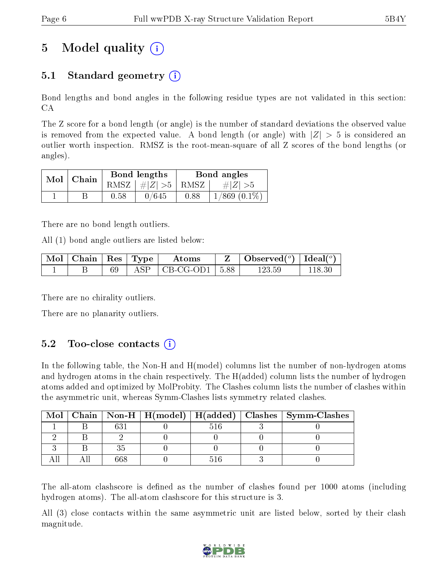# 5 Model quality  $(i)$

### 5.1 Standard geometry  $\overline{()}$

Bond lengths and bond angles in the following residue types are not validated in this section: CA

The Z score for a bond length (or angle) is the number of standard deviations the observed value is removed from the expected value. A bond length (or angle) with  $|Z| > 5$  is considered an outlier worth inspection. RMSZ is the root-mean-square of all Z scores of the bond lengths (or angles).

| Mol | Chain |      | Bond lengths                          | Bond angles |                   |  |
|-----|-------|------|---------------------------------------|-------------|-------------------|--|
|     |       |      | RMSZ $\mid \#Z \mid >5$   RMSZ $\mid$ |             | $\# Z  > 5$       |  |
|     |       | 0.58 | 0/645                                 | 0.88        | $1/869$ $(0.1\%)$ |  |

There are no bond length outliers.

All (1) bond angle outliers are listed below:

| Mol   Chain   Res   Type |  | Atoms                          | Observed( $^{\circ}$ )   Ideal( $^{\circ}$ ) |  |
|--------------------------|--|--------------------------------|----------------------------------------------|--|
|                          |  | $\vert$ CB-CG-OD1 $\vert$ 5.88 | ' 23.59                                      |  |

There are no chirality outliers.

There are no planarity outliers.

### $5.2$  Too-close contacts  $(i)$

In the following table, the Non-H and H(model) columns list the number of non-hydrogen atoms and hydrogen atoms in the chain respectively. The H(added) column lists the number of hydrogen atoms added and optimized by MolProbity. The Clashes column lists the number of clashes within the asymmetric unit, whereas Symm-Clashes lists symmetry related clashes.

| Mol |         |  | Chain   Non-H   H(model)   H(added)   Clashes   Symm-Clashes |
|-----|---------|--|--------------------------------------------------------------|
|     | $c_{2}$ |  |                                                              |
|     |         |  |                                                              |
|     |         |  |                                                              |
|     |         |  |                                                              |

The all-atom clashscore is defined as the number of clashes found per 1000 atoms (including hydrogen atoms). The all-atom clashscore for this structure is 3.

All (3) close contacts within the same asymmetric unit are listed below, sorted by their clash magnitude.

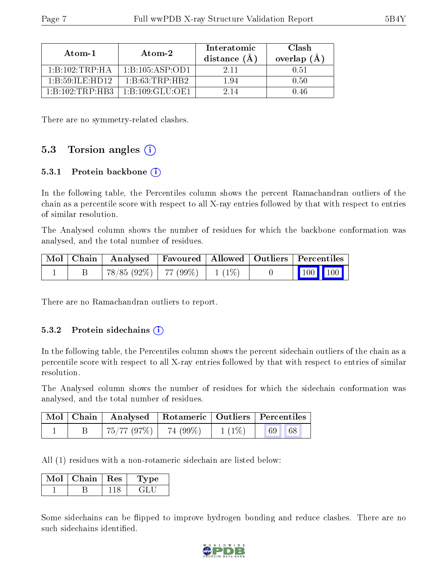| Atom-1                                                | Atom-2                                   | Interatomic<br>distance $(A)$ | Clash<br>overlap (Å |  |
|-------------------------------------------------------|------------------------------------------|-------------------------------|---------------------|--|
| $1 \cdot B \cdot 102 \cdot TRP \cdot HA$              | 1: B: 105: ASP: OD1                      | 2.11                          | $-1.51$             |  |
| $1 \cdot R \cdot 59 \cdot H \cdot H \cdot H \cdot 12$ | $1 \cdot B \cdot 63 \cdot TRP \cdot HR2$ | 194                           | 0.50                |  |
| $1 \cdot R \cdot 102 \cdot TRP \cdot HR3$             | -1 B 109 GLU OE1                         |                               | -46                 |  |

There are no symmetry-related clashes.

#### 5.3 Torsion angles (i)

#### 5.3.1 Protein backbone  $(i)$

In the following table, the Percentiles column shows the percent Ramachandran outliers of the chain as a percentile score with respect to all X-ray entries followed by that with respect to entries of similar resolution.

The Analysed column shows the number of residues for which the backbone conformation was analysed, and the total number of residues.

|  |                                 |  | $\mid$ Mol $\mid$ Chain $\mid$ Analysed $\mid$ Favoured $\mid$ Allowed $\mid$ Outliers $\mid$ Percentiles $\mid$ |  |
|--|---------------------------------|--|------------------------------------------------------------------------------------------------------------------|--|
|  | 78/85 (92%)   77 (99%)   1 (1%) |  | $\begin{array}{ c c c c }\n\hline\n\multicolumn{1}{ c }{100} & 100 & \n\end{array}$                              |  |

There are no Ramachandran outliers to report.

#### 5.3.2 Protein sidechains  $(i)$

In the following table, the Percentiles column shows the percent sidechain outliers of the chain as a percentile score with respect to all X-ray entries followed by that with respect to entries of similar resolution.

The Analysed column shows the number of residues for which the sidechain conformation was analysed, and the total number of residues.

|  | Mol   Chain   Analysed   Rotameric   Outliers   Percentiles |          |    |  |  |
|--|-------------------------------------------------------------|----------|----|--|--|
|  | , 75/77 (97%) $ $ 74 (99%)                                  | $1(1\%)$ | 68 |  |  |

All (1) residues with a non-rotameric sidechain are listed below:

| Chain. | Res | vpe |
|--------|-----|-----|
|        |     |     |

Some sidechains can be flipped to improve hydrogen bonding and reduce clashes. There are no such sidechains identified.

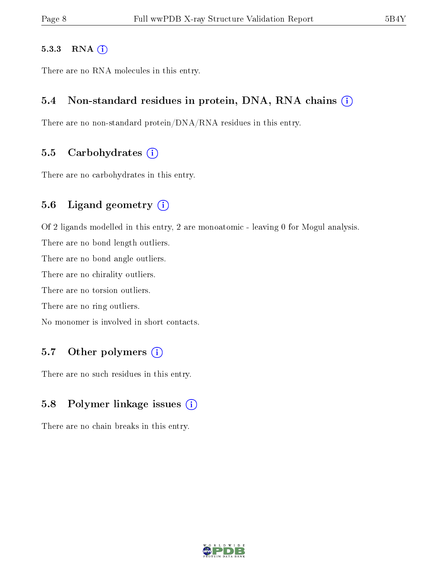#### 5.3.3 RNA (i)

There are no RNA molecules in this entry.

#### 5.4 Non-standard residues in protein, DNA, RNA chains (i)

There are no non-standard protein/DNA/RNA residues in this entry.

#### 5.5 Carbohydrates  $(i)$

There are no carbohydrates in this entry.

#### 5.6 Ligand geometry (i)

Of 2 ligands modelled in this entry, 2 are monoatomic - leaving 0 for Mogul analysis.

There are no bond length outliers.

There are no bond angle outliers.

There are no chirality outliers.

There are no torsion outliers.

There are no ring outliers.

No monomer is involved in short contacts.

#### 5.7 [O](https://www.wwpdb.org/validation/2017/XrayValidationReportHelp#nonstandard_residues_and_ligands)ther polymers  $(i)$

There are no such residues in this entry.

### 5.8 Polymer linkage issues  $(i)$

There are no chain breaks in this entry.